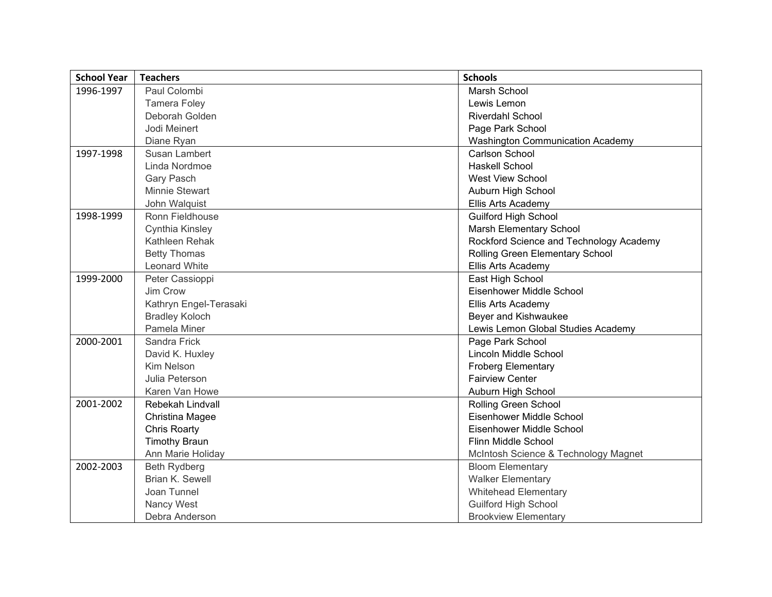| <b>School Year</b> | <b>Teachers</b>         | <b>Schools</b>                          |
|--------------------|-------------------------|-----------------------------------------|
| 1996-1997          | Paul Colombi            | <b>Marsh School</b>                     |
|                    | <b>Tamera Foley</b>     | Lewis Lemon                             |
|                    | Deborah Golden          | <b>Riverdahl School</b>                 |
|                    | Jodi Meinert            | Page Park School                        |
|                    | Diane Ryan              | <b>Washington Communication Academy</b> |
| 1997-1998          | <b>Susan Lambert</b>    | Carlson School                          |
|                    | Linda Nordmoe           | <b>Haskell School</b>                   |
|                    | Gary Pasch              | <b>West View School</b>                 |
|                    | Minnie Stewart          | Auburn High School                      |
|                    | John Walquist           | Ellis Arts Academy                      |
| 1998-1999          | Ronn Fieldhouse         | <b>Guilford High School</b>             |
|                    | Cynthia Kinsley         | <b>Marsh Elementary School</b>          |
|                    | Kathleen Rehak          | Rockford Science and Technology Academy |
|                    | <b>Betty Thomas</b>     | Rolling Green Elementary School         |
|                    | Leonard White           | Ellis Arts Academy                      |
| 1999-2000          | Peter Cassioppi         | East High School                        |
|                    | Jim Crow                | Eisenhower Middle School                |
|                    | Kathryn Engel-Terasaki  | <b>Ellis Arts Academy</b>               |
|                    | <b>Bradley Koloch</b>   | Beyer and Kishwaukee                    |
|                    | Pamela Miner            | Lewis Lemon Global Studies Academy      |
| 2000-2001          | Sandra Frick            | Page Park School                        |
|                    | David K. Huxley         | Lincoln Middle School                   |
|                    | Kim Nelson              | <b>Froberg Elementary</b>               |
|                    | Julia Peterson          | <b>Fairview Center</b>                  |
|                    | Karen Van Howe          | Auburn High School                      |
| 2001-2002          | <b>Rebekah Lindvall</b> | <b>Rolling Green School</b>             |
|                    | Christina Magee         | Eisenhower Middle School                |
|                    | <b>Chris Roarty</b>     | Eisenhower Middle School                |
|                    | <b>Timothy Braun</b>    | Flinn Middle School                     |
|                    | Ann Marie Holiday       | McIntosh Science & Technology Magnet    |
| 2002-2003          | <b>Beth Rydberg</b>     | <b>Bloom Elementary</b>                 |
|                    | Brian K. Sewell         | <b>Walker Elementary</b>                |
|                    | Joan Tunnel             | <b>Whitehead Elementary</b>             |
|                    | Nancy West              | <b>Guilford High School</b>             |
|                    | Debra Anderson          | <b>Brookview Elementary</b>             |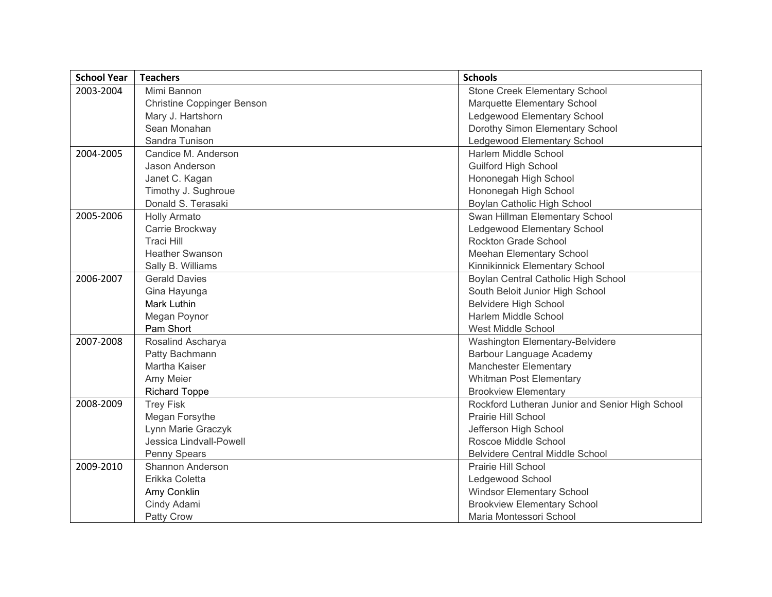| <b>School Year</b> | <b>Teachers</b>                   | <b>Schools</b>                                  |
|--------------------|-----------------------------------|-------------------------------------------------|
| 2003-2004          | Mimi Bannon                       | Stone Creek Elementary School                   |
|                    | <b>Christine Coppinger Benson</b> | Marquette Elementary School                     |
|                    | Mary J. Hartshorn                 | Ledgewood Elementary School                     |
|                    | Sean Monahan                      | Dorothy Simon Elementary School                 |
|                    | Sandra Tunison                    | Ledgewood Elementary School                     |
| 2004-2005          | Candice M. Anderson               | Harlem Middle School                            |
|                    | Jason Anderson                    | <b>Guilford High School</b>                     |
|                    | Janet C. Kagan                    | Hononegah High School                           |
|                    | Timothy J. Sughroue               | Hononegah High School                           |
|                    | Donald S. Terasaki                | Boylan Catholic High School                     |
| 2005-2006          | <b>Holly Armato</b>               | Swan Hillman Elementary School                  |
|                    | Carrie Brockway                   | Ledgewood Elementary School                     |
|                    | <b>Traci Hill</b>                 | <b>Rockton Grade School</b>                     |
|                    | <b>Heather Swanson</b>            | Meehan Elementary School                        |
|                    | Sally B. Williams                 | Kinnikinnick Elementary School                  |
| 2006-2007          | <b>Gerald Davies</b>              | Boylan Central Catholic High School             |
|                    | Gina Hayunga                      | South Beloit Junior High School                 |
|                    | <b>Mark Luthin</b>                | <b>Belvidere High School</b>                    |
|                    | Megan Poynor                      | Harlem Middle School                            |
|                    | Pam Short                         | West Middle School                              |
| 2007-2008          | Rosalind Ascharya                 | Washington Elementary-Belvidere                 |
|                    | Patty Bachmann                    | Barbour Language Academy                        |
|                    | Martha Kaiser                     | <b>Manchester Elementary</b>                    |
|                    | Amy Meier                         | <b>Whitman Post Elementary</b>                  |
|                    | <b>Richard Toppe</b>              | <b>Brookview Elementary</b>                     |
| 2008-2009          | <b>Trey Fisk</b>                  | Rockford Lutheran Junior and Senior High School |
|                    | Megan Forsythe                    | Prairie Hill School                             |
|                    | Lynn Marie Graczyk                | Jefferson High School                           |
|                    | Jessica Lindvall-Powell           | Roscoe Middle School                            |
|                    | Penny Spears                      | <b>Belvidere Central Middle School</b>          |
| 2009-2010          | Shannon Anderson                  | Prairie Hill School                             |
|                    | Erikka Coletta                    | Ledgewood School                                |
|                    | Amy Conklin                       | <b>Windsor Elementary School</b>                |
|                    | Cindy Adami                       | <b>Brookview Elementary School</b>              |
|                    | <b>Patty Crow</b>                 | Maria Montessori School                         |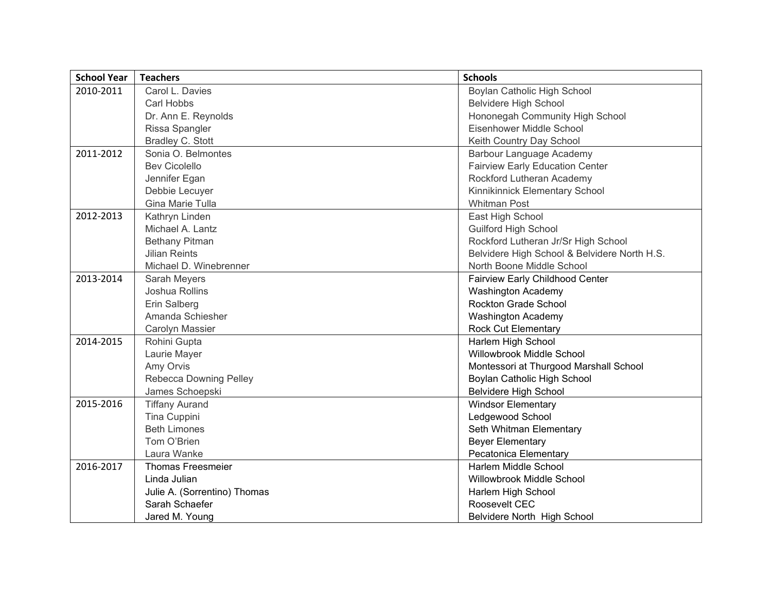| <b>School Year</b> | <b>Teachers</b>               | <b>Schools</b>                               |
|--------------------|-------------------------------|----------------------------------------------|
| 2010-2011          | Carol L. Davies               | Boylan Catholic High School                  |
|                    | Carl Hobbs                    | <b>Belvidere High School</b>                 |
|                    | Dr. Ann E. Reynolds           | Hononegah Community High School              |
|                    | Rissa Spangler                | Eisenhower Middle School                     |
|                    | Bradley C. Stott              | Keith Country Day School                     |
| 2011-2012          | Sonia O. Belmontes            | Barbour Language Academy                     |
|                    | <b>Bev Cicolello</b>          | <b>Fairview Early Education Center</b>       |
|                    | Jennifer Egan                 | Rockford Lutheran Academy                    |
|                    | Debbie Lecuyer                | Kinnikinnick Elementary School               |
|                    | Gina Marie Tulla              | <b>Whitman Post</b>                          |
| 2012-2013          | Kathryn Linden                | East High School                             |
|                    | Michael A. Lantz              | <b>Guilford High School</b>                  |
|                    | <b>Bethany Pitman</b>         | Rockford Lutheran Jr/Sr High School          |
|                    | <b>Jilian Reints</b>          | Belvidere High School & Belvidere North H.S. |
|                    | Michael D. Winebrenner        | North Boone Middle School                    |
| 2013-2014          | Sarah Meyers                  | <b>Fairview Early Childhood Center</b>       |
|                    | Joshua Rollins                | <b>Washington Academy</b>                    |
|                    | Erin Salberg                  | <b>Rockton Grade School</b>                  |
|                    | Amanda Schiesher              | <b>Washington Academy</b>                    |
|                    | Carolyn Massier               | <b>Rock Cut Elementary</b>                   |
| 2014-2015          | Rohini Gupta                  | Harlem High School                           |
|                    | Laurie Mayer                  | Willowbrook Middle School                    |
|                    | Amy Orvis                     | Montessori at Thurgood Marshall School       |
|                    | <b>Rebecca Downing Pelley</b> | Boylan Catholic High School                  |
|                    | James Schoepski               | <b>Belvidere High School</b>                 |
| 2015-2016          | <b>Tiffany Aurand</b>         | <b>Windsor Elementary</b>                    |
|                    | Tina Cuppini                  | Ledgewood School                             |
|                    | <b>Beth Limones</b>           | Seth Whitman Elementary                      |
|                    | Tom O'Brien                   | <b>Beyer Elementary</b>                      |
|                    | Laura Wanke                   | Pecatonica Elementary                        |
| 2016-2017          | <b>Thomas Freesmeier</b>      | Harlem Middle School                         |
|                    | Linda Julian                  | Willowbrook Middle School                    |
|                    | Julie A. (Sorrentino) Thomas  | Harlem High School                           |
|                    | Sarah Schaefer                | Roosevelt CEC                                |
|                    | Jared M. Young                | Belvidere North High School                  |